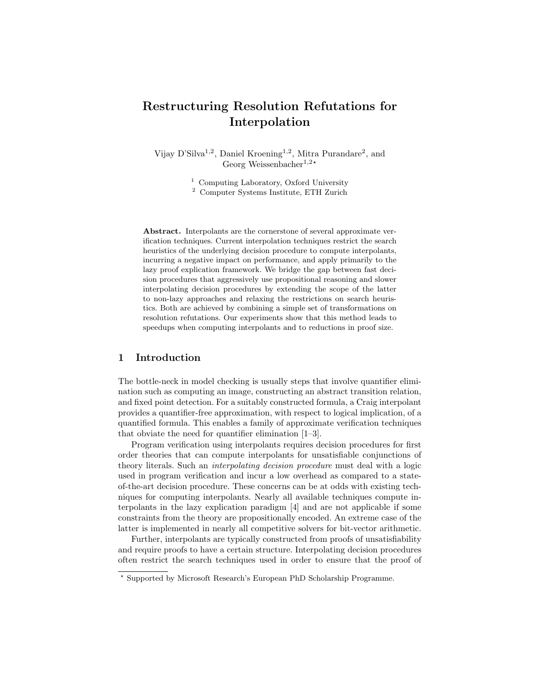# Restructuring Resolution Refutations for Interpolation

Vijay D'Silva<sup>1,2</sup>, Daniel Kroening<sup>1,2</sup>, Mitra Purandare<sup>2</sup>, and Georg Weissenbacher<sup>1,2\*</sup>

<sup>1</sup> Computing Laboratory, Oxford University

<sup>2</sup> Computer Systems Institute, ETH Zurich

Abstract. Interpolants are the cornerstone of several approximate verification techniques. Current interpolation techniques restrict the search heuristics of the underlying decision procedure to compute interpolants, incurring a negative impact on performance, and apply primarily to the lazy proof explication framework. We bridge the gap between fast decision procedures that aggressively use propositional reasoning and slower interpolating decision procedures by extending the scope of the latter to non-lazy approaches and relaxing the restrictions on search heuristics. Both are achieved by combining a simple set of transformations on resolution refutations. Our experiments show that this method leads to speedups when computing interpolants and to reductions in proof size.

## 1 Introduction

The bottle-neck in model checking is usually steps that involve quantifier elimination such as computing an image, constructing an abstract transition relation, and fixed point detection. For a suitably constructed formula, a Craig interpolant provides a quantifier-free approximation, with respect to logical implication, of a quantified formula. This enables a family of approximate verification techniques that obviate the need for quantifier elimination [1–3].

Program verification using interpolants requires decision procedures for first order theories that can compute interpolants for unsatisfiable conjunctions of theory literals. Such an interpolating decision procedure must deal with a logic used in program verification and incur a low overhead as compared to a stateof-the-art decision procedure. These concerns can be at odds with existing techniques for computing interpolants. Nearly all available techniques compute interpolants in the lazy explication paradigm [4] and are not applicable if some constraints from the theory are propositionally encoded. An extreme case of the latter is implemented in nearly all competitive solvers for bit-vector arithmetic.

Further, interpolants are typically constructed from proofs of unsatisfiability and require proofs to have a certain structure. Interpolating decision procedures often restrict the search techniques used in order to ensure that the proof of

<sup>?</sup> Supported by Microsoft Research's European PhD Scholarship Programme.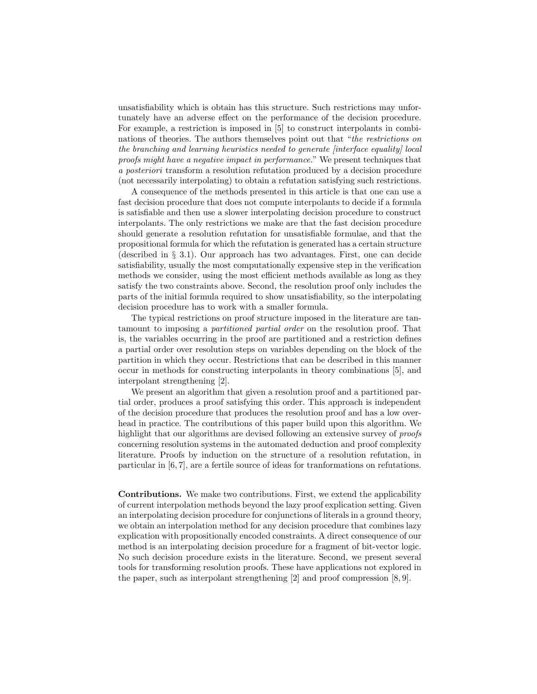unsatisfiability which is obtain has this structure. Such restrictions may unfortunately have an adverse effect on the performance of the decision procedure. For example, a restriction is imposed in [5] to construct interpolants in combinations of theories. The authors themselves point out that "the restrictions on the branching and learning heuristics needed to generate [interface equality] local proofs might have a negative impact in performance." We present techniques that a posteriori transform a resolution refutation produced by a decision procedure (not necessarily interpolating) to obtain a refutation satisfying such restrictions.

A consequence of the methods presented in this article is that one can use a fast decision procedure that does not compute interpolants to decide if a formula is satisfiable and then use a slower interpolating decision procedure to construct interpolants. The only restrictions we make are that the fast decision procedure should generate a resolution refutation for unsatisfiable formulae, and that the propositional formula for which the refutation is generated has a certain structure (described in § 3.1). Our approach has two advantages. First, one can decide satisfiability, usually the most computationally expensive step in the verification methods we consider, using the most efficient methods available as long as they satisfy the two constraints above. Second, the resolution proof only includes the parts of the initial formula required to show unsatisfiability, so the interpolating decision procedure has to work with a smaller formula.

The typical restrictions on proof structure imposed in the literature are tantamount to imposing a partitioned partial order on the resolution proof. That is, the variables occurring in the proof are partitioned and a restriction defines a partial order over resolution steps on variables depending on the block of the partition in which they occur. Restrictions that can be described in this manner occur in methods for constructing interpolants in theory combinations [5], and interpolant strengthening [2].

We present an algorithm that given a resolution proof and a partitioned partial order, produces a proof satisfying this order. This approach is independent of the decision procedure that produces the resolution proof and has a low overhead in practice. The contributions of this paper build upon this algorithm. We highlight that our algorithms are devised following an extensive survey of *proofs* concerning resolution systems in the automated deduction and proof complexity literature. Proofs by induction on the structure of a resolution refutation, in particular in [6, 7], are a fertile source of ideas for tranformations on refutations.

Contributions. We make two contributions. First, we extend the applicability of current interpolation methods beyond the lazy proof explication setting. Given an interpolating decision procedure for conjunctions of literals in a ground theory, we obtain an interpolation method for any decision procedure that combines lazy explication with propositionally encoded constraints. A direct consequence of our method is an interpolating decision procedure for a fragment of bit-vector logic. No such decision procedure exists in the literature. Second, we present several tools for transforming resolution proofs. These have applications not explored in the paper, such as interpolant strengthening [2] and proof compression [8, 9].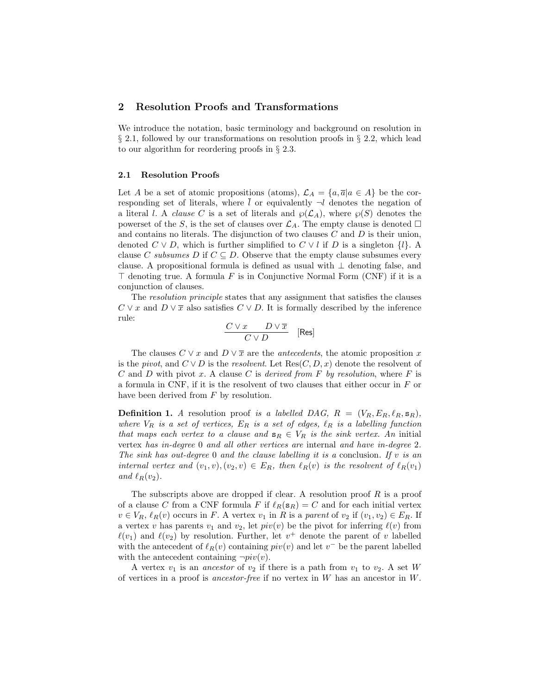## 2 Resolution Proofs and Transformations

We introduce the notation, basic terminology and background on resolution in § 2.1, followed by our transformations on resolution proofs in § 2.2, which lead to our algorithm for reordering proofs in § 2.3.

### 2.1 Resolution Proofs

Let A be a set of atomic propositions (atoms),  $\mathcal{L}_A = \{a, \overline{a} | a \in A\}$  be the corresponding set of literals, where  $\overline{l}$  or equivalently  $\neg l$  denotes the negation of a literal l. A *clause* C is a set of literals and  $\wp(\mathcal{L}_A)$ , where  $\wp(S)$  denotes the powerset of the S, is the set of clauses over  $\mathcal{L}_A$ . The empty clause is denoted  $\Box$ and contains no literals. The disjunction of two clauses  $C$  and  $D$  is their union, denoted  $C \vee D$ , which is further simplified to  $C \vee l$  if D is a singleton  ${l}$ . clause C subsumes D if  $C \subseteq D$ . Observe that the empty clause subsumes every clause. A propositional formula is defined as usual with  $\perp$  denoting false, and  $\top$  denoting true. A formula F is in Conjunctive Normal Form (CNF) if it is a conjunction of clauses.

The resolution principle states that any assignment that satisfies the clauses  $C \vee x$  and  $D \vee \overline{x}$  also satisfies  $C \vee D$ . It is formally described by the inference rule:

$$
\frac{C \vee x \qquad D \vee \overline{x}}{C \vee D} \quad \text{[Res]}
$$

The clauses  $C \vee x$  and  $D \vee \overline{x}$  are the *antecedents*, the atomic proposition x is the pivot, and  $C \vee D$  is the resolvent. Let  $\text{Res}(C, D, x)$  denote the resolvent of C and D with pivot x. A clause C is derived from F by resolution, where F is a formula in CNF, if it is the resolvent of two clauses that either occur in F or have been derived from  $F$  by resolution.

**Definition 1.** A resolution proof is a labelled DAG,  $R = (V_R, E_R, \ell_R, \mathbf{s}_R)$ , where  $V_R$  is a set of vertices,  $E_R$  is a set of edges,  $\ell_R$  is a labelling function that maps each vertex to a clause and  $\mathbf{s}_R \in V_R$  is the sink vertex. An initial vertex has in-degree 0 and all other vertices are internal and have in-degree 2. The sink has out-degree 0 and the clause labelling it is a conclusion. If v is an internal vertex and  $(v_1, v), (v_2, v) \in E_R$ , then  $\ell_R(v)$  is the resolvent of  $\ell_R(v_1)$ and  $\ell_R(v_2)$ .

The subscripts above are dropped if clear. A resolution proof  $R$  is a proof of a clause C from a CNF formula F if  $\ell_R(s_R) = C$  and for each initial vertex  $v \in V_R$ ,  $\ell_R(v)$  occurs in F. A vertex  $v_1$  in R is a parent of  $v_2$  if  $(v_1, v_2) \in E_R$ . If a vertex v has parents  $v_1$  and  $v_2$ , let  $piv(v)$  be the pivot for inferring  $\ell(v)$  from  $\ell(v_1)$  and  $\ell(v_2)$  by resolution. Further, let  $v^+$  denote the parent of v labelled with the antecedent of  $\ell_R(v)$  containing  $piv(v)$  and let  $v^-$  be the parent labelled with the antecedent containing  $\neg piv(v)$ .

A vertex  $v_1$  is an ancestor of  $v_2$  if there is a path from  $v_1$  to  $v_2$ . A set W of vertices in a proof is *ancestor-free* if no vertex in  $W$  has an ancestor in  $W$ .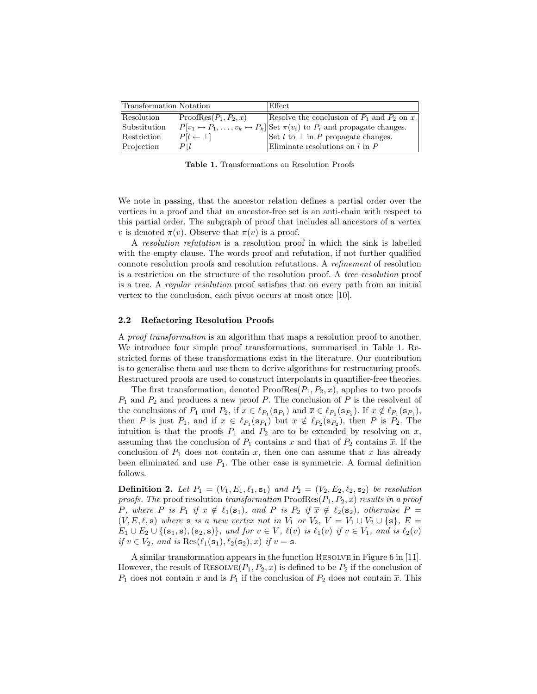| Transformation Notation |                           | Effect                                                                                         |
|-------------------------|---------------------------|------------------------------------------------------------------------------------------------|
| Resolution              | $ ProofRes(P_1, P_2, x) $ | Resolve the conclusion of $P_1$ and $P_2$ on x.                                                |
| Substitution            |                           | $ P[v_1 \mapsto P_1, \ldots, v_k \mapsto P_k] $ Set $\pi(v_i)$ to $P_i$ and propagate changes. |
| Restriction             | $ P[l \leftarrow \perp] $ | Set $l$ to $\perp$ in P propagate changes.                                                     |
| Projection              | $P$   $l$                 | Eliminate resolutions on $l$ in $P$                                                            |

Table 1. Transformations on Resolution Proofs

We note in passing, that the ancestor relation defines a partial order over the vertices in a proof and that an ancestor-free set is an anti-chain with respect to this partial order. The subgraph of proof that includes all ancestors of a vertex v is denoted  $\pi(v)$ . Observe that  $\pi(v)$  is a proof.

A resolution refutation is a resolution proof in which the sink is labelled with the empty clause. The words proof and refutation, if not further qualified connote resolution proofs and resolution refutations. A refinement of resolution is a restriction on the structure of the resolution proof. A tree resolution proof is a tree. A regular resolution proof satisfies that on every path from an initial vertex to the conclusion, each pivot occurs at most once [10].

### 2.2 Refactoring Resolution Proofs

A proof transformation is an algorithm that maps a resolution proof to another. We introduce four simple proof transformations, summarised in Table 1. Restricted forms of these transformations exist in the literature. Our contribution is to generalise them and use them to derive algorithms for restructuring proofs. Restructured proofs are used to construct interpolants in quantifier-free theories.

The first transformation, denoted  $ProofRes(P_1, P_2, x)$ , applies to two proofs  $P_1$  and  $P_2$  and produces a new proof P. The conclusion of P is the resolvent of the conclusions of  $P_1$  and  $P_2$ , if  $x \in \ell_{P_1}(\mathbf{s}_{P_1})$  and  $\overline{x} \in \ell_{P_2}(\mathbf{s}_{P_2})$ . If  $x \notin \ell_{P_1}(\mathbf{s}_{P_1})$ , then P is just  $P_1$ , and if  $x \in \ell_{P_1}(\mathbf{s}_{P_1})$  but  $\overline{x} \notin \ell_{P_2}(\mathbf{s}_{P_2})$ , then P is  $P_2$ . The intuition is that the proofs  $P_1$  and  $P_2$  are to be extended by resolving on x, assuming that the conclusion of  $P_1$  contains x and that of  $P_2$  contains  $\overline{x}$ . If the conclusion of  $P_1$  does not contain x, then one can assume that x has already been eliminated and use  $P_1$ . The other case is symmetric. A formal definition follows.

**Definition 2.** Let  $P_1 = (V_1, E_1, \ell_1, s_1)$  and  $P_2 = (V_2, E_2, \ell_2, s_2)$  be resolution proofs. The proof resolution transformation  $ProofRes(P_1, P_2, x)$  results in a proof P, where P is  $P_1$  if  $x \notin \ell_1(\mathbf{s}_1)$ , and P is  $P_2$  if  $\overline{x} \notin \ell_2(\mathbf{s}_2)$ , otherwise  $P =$  $(V, E, \ell, s)$  where s is a new vertex not in  $V_1$  or  $V_2$ ,  $V = V_1 \cup V_2 \cup \{s\}, E =$  $E_1 \cup E_2 \cup \{(\mathbf{s}_1, \mathbf{s}), (\mathbf{s}_2, \mathbf{s})\},$  and for  $v \in V$ ,  $\ell(v)$  is  $\ell_1(v)$  if  $v \in V_1$ , and is  $\ell_2(v)$ if  $v \in V_2$ , and is  $\text{Res}(\ell_1(\mathbf{s}_1), \ell_2(\mathbf{s}_2), x)$  if  $v = \mathbf{s}$ .

A similar transformation appears in the function Resolve in Figure 6 in [11]. However, the result of RESOLVE $(P_1, P_2, x)$  is defined to be  $P_2$  if the conclusion of  $P_1$  does not contain x and is  $P_1$  if the conclusion of  $P_2$  does not contain  $\overline{x}$ . This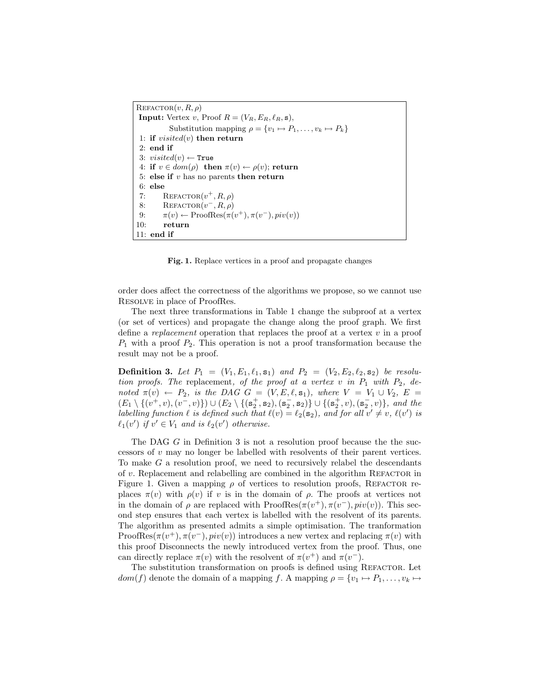$REFACTOR(v, R, \rho)$ **Input:** Vertex v, Proof  $R = (V_R, E_R, \ell_R, \mathbf{s}),$ Substitution mapping  $\rho = \{v_1 \mapsto P_1, \ldots, v_k \mapsto P_k\}$ 1: if  $visited(v)$  then return 2: end if 3:  $visited(v) \leftarrow True$ 4: if  $v \in dom(\rho)$  then  $\pi(v) \leftarrow \rho(v)$ ; return 5: else if  $v$  has no parents then return  $6:$  else 7: REFACTOR $(v^+, R, \rho)$ 8: REFACTOR $(v^-, R, \rho)$ 9:  $\pi(v) \leftarrow \text{ProofRes}(\pi(v^+), \pi(v^-), piv(v))$ 10: return 11: end if

Fig. 1. Replace vertices in a proof and propagate changes

order does affect the correctness of the algorithms we propose, so we cannot use Resolve in place of ProofRes.

The next three transformations in Table 1 change the subproof at a vertex (or set of vertices) and propagate the change along the proof graph. We first define a *replacement* operation that replaces the proof at a vertex  $v$  in a proof  $P_1$  with a proof  $P_2$ . This operation is not a proof transformation because the result may not be a proof.

**Definition 3.** Let  $P_1 = (V_1, E_1, \ell_1, s_1)$  and  $P_2 = (V_2, E_2, \ell_2, s_2)$  be resolution proofs. The replacement, of the proof at a vertex  $v$  in  $P_1$  with  $P_2$ , denoted  $\pi(v) \leftarrow P_2$ , is the DAG  $G = (V, E, \ell, \mathbf{s}_1)$ , where  $V = V_1 \cup V_2$ ,  $E =$  $(E_1 \setminus \{(v^+, v), (v^-, v)\}) \cup (E_2 \setminus \{(\mathbf{s}_2^+, \mathbf{s}_2), (\mathbf{s}_2^-, \mathbf{s}_2)\} \cup \{(\mathbf{s}_2^+, v), (\mathbf{s}_2^-, v)\},\$ and the labelling function  $\ell$  is defined such that  $\ell(v) = \ell_2(\mathbf{s}_2)$ , and for all  $v' \neq v$ ,  $\ell(v')$  is  $\ell_1(v')$  if  $v' \in V_1$  and is  $\ell_2(v')$  otherwise.

The DAG G in Definition 3 is not a resolution proof because the the successors of  $v$  may no longer be labelled with resolvents of their parent vertices. To make  $G$  a resolution proof, we need to recursively relabel the descendants of  $v$ . Replacement and relabelling are combined in the algorithm REFACTOR in Figure 1. Given a mapping  $\rho$  of vertices to resolution proofs, REFACTOR replaces  $\pi(v)$  with  $\rho(v)$  if v is in the domain of  $\rho$ . The proofs at vertices not in the domain of  $\rho$  are replaced with  $ProofRes(\pi(v^+), \pi(v^-), piv(v))$ . This second step ensures that each vertex is labelled with the resolvent of its parents. The algorithm as presented admits a simple optimisation. The tranformation ProofRes $(\pi(v^+), \pi(v^-), piv(v))$  introduces a new vertex and replacing  $\pi(v)$  with this proof Disconnects the newly introduced vertex from the proof. Thus, one can directly replace  $\pi(v)$  with the resolvent of  $\pi(v^+)$  and  $\pi(v^-)$ .

The substitution transformation on proofs is defined using REFACTOR. Let  $dom(f)$  denote the domain of a mapping f. A mapping  $\rho = \{v_1 \mapsto P_1, \ldots, v_k \mapsto$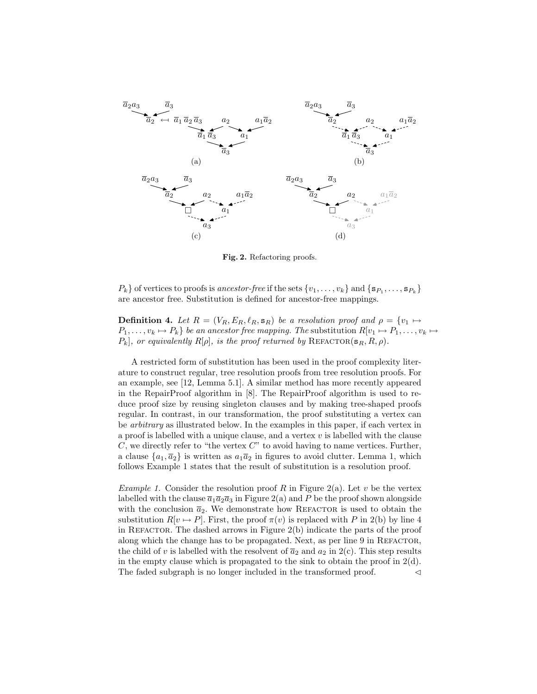

Fig. 2. Refactoring proofs.

 $P_k$ } of vertices to proofs is ancestor-free if the sets  $\{v_1, \ldots, v_k\}$  and  $\{s_{P_1}, \ldots, s_{P_k}\}\$ are ancestor free. Substitution is defined for ancestor-free mappings.

**Definition 4.** Let  $R = (V_R, E_R, \ell_R, \mathbf{s}_R)$  be a resolution proof and  $\rho = \{v_1 \mapsto$  $P_1, \ldots, v_k \mapsto P_k$  be an ancestor free mapping. The substitution  $R[v_1 \mapsto P_1, \ldots, v_k \mapsto$  $P_k$ , or equivalently  $R[\rho]$ , is the proof returned by REFACTOR( $\mathbf{s}_R, R, \rho$ ).

A restricted form of substitution has been used in the proof complexity literature to construct regular, tree resolution proofs from tree resolution proofs. For an example, see [12, Lemma 5.1]. A similar method has more recently appeared in the RepairProof algorithm in [8]. The RepairProof algorithm is used to reduce proof size by reusing singleton clauses and by making tree-shaped proofs regular. In contrast, in our transformation, the proof substituting a vertex can be arbitrary as illustrated below. In the examples in this paper, if each vertex in a proof is labelled with a unique clause, and a vertex  $v$  is labelled with the clause  $C$ , we directly refer to "the vertex  $C$ " to avoid having to name vertices. Further, a clause  $\{a_1, \overline{a}_2\}$  is written as  $a_1\overline{a}_2$  in figures to avoid clutter. Lemma 1, which follows Example 1 states that the result of substitution is a resolution proof.

*Example 1.* Consider the resolution proof R in Figure 2(a). Let v be the vertex labelled with the clause  $\bar{a}_1\bar{a}_2\bar{a}_3$  in Figure 2(a) and P be the proof shown alongside with the conclusion  $\bar{a}_2$ . We demonstrate how REFACTOR is used to obtain the substitution  $R[v \mapsto P]$ . First, the proof  $\pi(v)$  is replaced with P in 2(b) by line 4 in REFACTOR. The dashed arrows in Figure  $2(b)$  indicate the parts of the proof along which the change has to be propagated. Next, as per line 9 in REFACTOR, the child of v is labelled with the resolvent of  $\bar{a}_2$  and  $a_2$  in 2(c). This step results in the empty clause which is propagated to the sink to obtain the proof in  $2(d)$ . The faded subgraph is no longer included in the transformed proof.  $\lnot$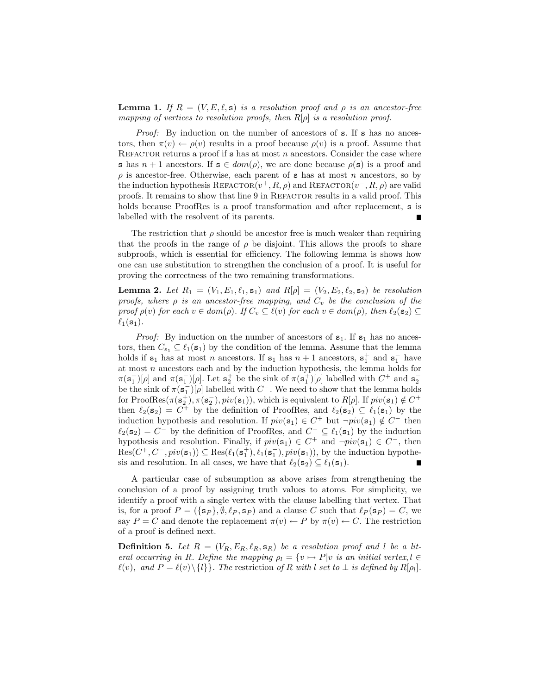**Lemma 1.** If  $R = (V, E, \ell, s)$  is a resolution proof and  $\rho$  is an ancestor-free mapping of vertices to resolution proofs, then  $R[\rho]$  is a resolution proof.

*Proof:* By induction on the number of ancestors of **s**. If **s** has no ancestors, then  $\pi(v) \leftarrow \rho(v)$  results in a proof because  $\rho(v)$  is a proof. Assume that REFACTOR returns a proof if  $s$  has at most n ancestors. Consider the case where s has  $n + 1$  ancestors. If  $s \in dom(\rho)$ , we are done because  $\rho(s)$  is a proof and  $\rho$  is ancestor-free. Otherwise, each parent of **s** has at most n ancestors, so by the induction hypothesis REFACTOR $(v^+, R, \rho)$  and REFACTOR $(v^-, R, \rho)$  are valid proofs. It remains to show that line 9 in REFACTOR results in a valid proof. This holds because ProofRes is a proof transformation and after replacement, s is labelled with the resolvent of its parents.

The restriction that  $\rho$  should be ancestor free is much weaker than requiring that the proofs in the range of  $\rho$  be disjoint. This allows the proofs to share subproofs, which is essential for efficiency. The following lemma is shows how one can use substitution to strengthen the conclusion of a proof. It is useful for proving the correctness of the two remaining transformations.

**Lemma 2.** Let  $R_1 = (V_1, E_1, \ell_1, s_1)$  and  $R[\rho] = (V_2, E_2, \ell_2, s_2)$  be resolution proofs, where  $\rho$  is an ancestor-free mapping, and  $C_v$  be the conclusion of the proof  $\rho(v)$  for each  $v \in dom(\rho)$ . If  $C_v \subseteq \ell(v)$  for each  $v \in dom(\rho)$ , then  $\ell_2(\mathbf{s}_2) \subseteq$  $\ell_1(\mathbf{s}_1)$ .

*Proof:* By induction on the number of ancestors of  $s_1$ . If  $s_1$  has no ancestors, then  $C_{s_1} \subseteq \ell_1(s_1)$  by the condition of the lemma. Assume that the lemma holds if  $s_1$  has at most n ancestors. If  $s_1$  has  $n + 1$  ancestors,  $s_1^+$  and  $s_1^-$  have at most  $n$  ancestors each and by the induction hypothesis, the lemma holds for  $\pi(s_1^+)[\rho]$  and  $\pi(s_1^-)[\rho]$ . Let  $s_2^+$  be the sink of  $\pi(s_1^+)[\rho]$  labelled with  $C^+$  and  $s_2^$ be the sink of  $\pi(\mathbf{s}_1^-)[\rho]$  labelled with  $C^-$ . We need to show that the lemma holds for ProofRes $(\pi(\mathbf{s}_2^+), \pi(\mathbf{s}_2^-), \text{piv}(\mathbf{s}_1))$ , which is equivalent to  $R[\rho]$ . If  $\text{piv}(\mathbf{s}_1) \notin C^+$ then  $\ell_2(\mathbf{s}_2) = C^+$  by the definition of ProofRes, and  $\ell_2(\mathbf{s}_2) \subseteq \ell_1(\mathbf{s}_1)$  by the induction hypothesis and resolution. If  $piv(\mathbf{s}_1) \in C^+$  but  $\neg piv(\mathbf{s}_1) \notin C^-$  then  $\ell_2(\mathbf{s}_2) = C^-$  by the definition of ProofRes, and  $C^- \subseteq \ell_1(\mathbf{s}_1)$  by the induction hypothesis and resolution. Finally, if  $piv(s_1) \in C^+$  and  $\neg piv(s_1) \in C^-$ , then  $Res(C^+, C^-, piv(\mathbf{s}_1)) \subseteq Res(\ell_1(\mathbf{s}_1^+), \ell_1(\mathbf{s}_1^-), piv(\mathbf{s}_1)),$  by the induction hypothesis and resolution. In all cases, we have that  $\ell_2(\mathbf{s}_2) \subseteq \ell_1(\mathbf{s}_1)$ .

A particular case of subsumption as above arises from strengthening the conclusion of a proof by assigning truth values to atoms. For simplicity, we identify a proof with a single vertex with the clause labelling that vertex. That is, for a proof  $P = (\{s_P\}, \emptyset, \ell_P, s_P)$  and a clause C such that  $\ell_P (s_P) = C$ , we say  $P = C$  and denote the replacement  $\pi(v) \leftarrow P$  by  $\pi(v) \leftarrow C$ . The restriction of a proof is defined next.

**Definition 5.** Let  $R = (V_R, E_R, \ell_R, \mathbf{s}_R)$  be a resolution proof and l be a literal occurring in R. Define the mapping  $\rho_l = \{v \mapsto P|v \text{ is an initial vertex}, l \in$  $\ell(v)$ , and  $P = \ell(v) \setminus \{l\}$ . The restriction of R with l set to  $\perp$  is defined by  $R[\rho_l]$ .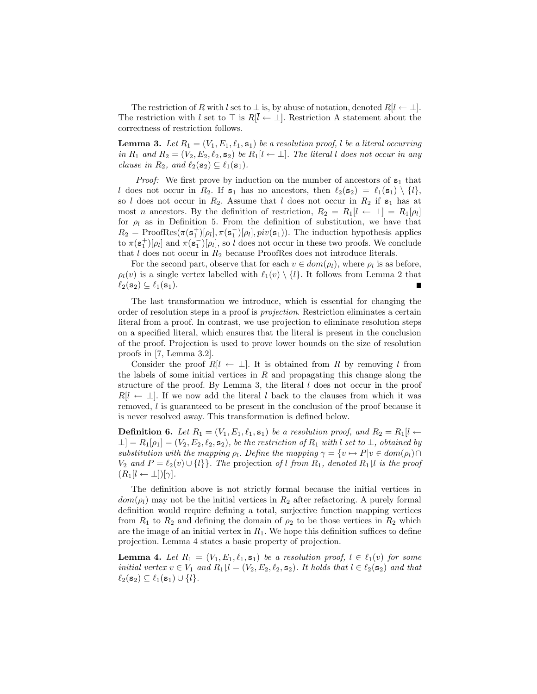The restriction of R with l set to  $\perp$  is, by abuse of notation, denoted  $R[l \leftarrow \perp]$ . The restriction with l set to  $\top$  is  $R[l \leftarrow \bot]$ . Restriction A statement about the correctness of restriction follows.

**Lemma 3.** Let  $R_1 = (V_1, E_1, \ell_1, \mathbf{s}_1)$  be a resolution proof, l be a literal occurring in  $R_1$  and  $R_2 = (V_2, E_2, \ell_2, \mathbf{s}_2)$  be  $R_1[l \leftarrow \perp]$ . The literal l does not occur in any clause in  $R_2$ , and  $\ell_2(\mathbf{s}_2) \subseteq \ell_1(\mathbf{s}_1)$ .

*Proof:* We first prove by induction on the number of ancestors of  $s_1$  that l does not occur in  $R_2$ . If  $s_1$  has no ancestors, then  $\ell_2(s_2) = \ell_1(s_1) \setminus \{l\},\$ so l does not occur in  $R_2$ . Assume that l does not occur in  $R_2$  if  $s_1$  has at most *n* ancestors. By the definition of restriction,  $R_2 = R_1[l \leftarrow \perp] = R_1[\rho_l]$ for  $\rho_l$  as in Definition 5. From the definition of substitution, we have that  $R_2 = \text{ProofRes}(\pi(\mathbf{s}_1^+)[\rho_l], \pi(\mathbf{s}_1^-)[\rho_l], \text{piv}(\mathbf{s}_1)).$  The induction hypothesis applies to  $\pi(\mathbf{s}_1^+)[\rho_l]$  and  $\pi(\mathbf{s}_1^-)[\rho_l]$ , so l does not occur in these two proofs. We conclude that  $l$  does not occur in  $R_2$  because ProofRes does not introduce literals.

For the second part, observe that for each  $v \in dom(\rho_l)$ , where  $\rho_l$  is as before,  $\rho_l(v)$  is a single vertex labelled with  $\ell_1(v) \setminus \{l\}$ . It follows from Lemma 2 that  $\ell_2(\mathbf{s}_2) \subseteq \ell_1(\mathbf{s}_1).$ 

The last transformation we introduce, which is essential for changing the order of resolution steps in a proof is projection. Restriction eliminates a certain literal from a proof. In contrast, we use projection to eliminate resolution steps on a specified literal, which ensures that the literal is present in the conclusion of the proof. Projection is used to prove lower bounds on the size of resolution proofs in [7, Lemma 3.2].

Consider the proof  $R[l \leftarrow \perp]$ . It is obtained from R by removing l from the labels of some initial vertices in  $R$  and propagating this change along the structure of the proof. By Lemma 3, the literal  $l$  does not occur in the proof  $R[l \leftarrow \perp]$ . If we now add the literal l back to the clauses from which it was removed, l is guaranteed to be present in the conclusion of the proof because it is never resolved away. This transformation is defined below.

**Definition 6.** Let  $R_1 = (V_1, E_1, \ell_1, \mathbf{s}_1)$  be a resolution proof, and  $R_2 = R_1[l \leftarrow$  $\perp$ ] =  $R_1[\rho_1] = (V_2, E_2, \ell_2, \mathbf{s}_2)$ , be the restriction of  $R_1$  with l set to  $\perp$ , obtained by substitution with the mapping  $\rho_l$ . Define the mapping  $\gamma = \{v \mapsto P|v \in dom(\rho_l) \cap$  $V_2$  and  $P = \ell_2(v) \cup \{l\}$ . The projection of l from  $R_1$ , denoted  $R_1|l$  is the proof  $(R_1[l \leftarrow \perp])[\gamma].$ 

The definition above is not strictly formal because the initial vertices in  $dom(\rho_l)$  may not be the initial vertices in  $R_2$  after refactoring. A purely formal definition would require defining a total, surjective function mapping vertices from  $R_1$  to  $R_2$  and defining the domain of  $\rho_2$  to be those vertices in  $R_2$  which are the image of an initial vertex in  $R_1$ . We hope this definition suffices to define projection. Lemma 4 states a basic property of projection.

**Lemma 4.** Let  $R_1 = (V_1, E_1, \ell_1, \mathbf{s}_1)$  be a resolution proof,  $l \in \ell_1(v)$  for some initial vertex  $v \in V_1$  and  $R_1 \mid l = (V_2, E_2, \ell_2, \mathbf{s}_2)$ . It holds that  $l \in \ell_2(\mathbf{s}_2)$  and that  $\ell_2(\mathbf{s}_2) \subseteq \ell_1(\mathbf{s}_1) \cup \{l\}.$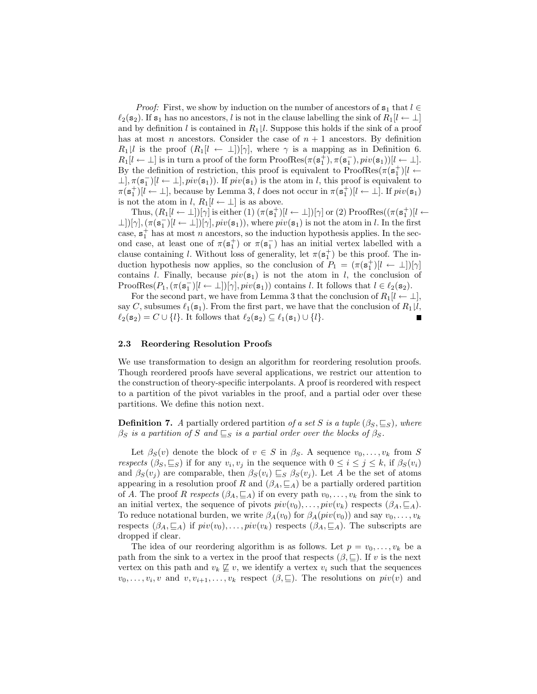*Proof:* First, we show by induction on the number of ancestors of  $s_1$  that  $l \in$  $\ell_2(\mathbf{s}_2)$ . If  $\mathbf{s}_1$  has no ancestors, l is not in the clause labelling the sink of  $R_1\mathbf{l} \leftarrow \mathbf{l}$ and by definition l is contained in  $R_1 \downharpoonright l$ . Suppose this holds if the sink of a proof has at most n ancestors. Consider the case of  $n + 1$  ancestors. By definition  $R_1|l$  is the proof  $(R_1|l \leftarrow \perp)|\gamma|$ , where  $\gamma$  is a mapping as in Definition 6.  $R_1[l \leftarrow \perp]$  is in turn a proof of the form ProofRes $(\pi(\mathbf{s}_1^+), \pi(\mathbf{s}_1^-), \text{piv}(\mathbf{s}_1))[l \leftarrow \perp]$ . By the definition of restriction, this proof is equivalent to  $ProofRes(\pi(\mathbf{s}_1^+)[l \leftarrow$  $\perp, \pi(\mathbf{s}_1^-)[l \leftarrow \perp], \text{piv}(\mathbf{s}_1)$ . If  $\text{piv}(\mathbf{s}_1)$  is the atom in l, this proof is equivalent to  $\pi(\mathbf{s}_1^+)[l \leftarrow \perp]$ , because by Lemma 3, l does not occur in  $\pi(\mathbf{s}_1^+)[l \leftarrow \perp]$ . If  $piv(\mathbf{s}_1)$ is not the atom in l,  $R_1[l \leftarrow \perp]$  is as above.

Thus,  $(R_1[l \leftarrow \perp])[\gamma]$  is either  $(1)$   $(\pi(\mathbf{s}_1^+)[l \leftarrow \perp])[\gamma]$  or  $(2)$  ProofRes $((\pi(\mathbf{s}_1^+)[l \leftarrow \perp]))$  $\perp$ ])[ $\gamma$ ],  $(\pi(\mathbf{s}_1^-)[l \leftarrow \perp])[\gamma]$ ,  $piv(\mathbf{s}_1)$ ), where  $piv(\mathbf{s}_1)$  is not the atom in l. In the first case,  $s_1^+$  has at most *n* ancestors, so the induction hypothesis applies. In the second case, at least one of  $\pi(\mathbf{s}_1^+)$  or  $\pi(\mathbf{s}_1^-)$  has an initial vertex labelled with a clause containing *l*. Without loss of generality, let  $\pi(\mathbf{s}_1^+)$  be this proof. The induction hypothesis now applies, so the conclusion of  $P_1 = (\pi(\mathbf{s}_1^+)[l \leftarrow \perp])[\gamma]$ contains l. Finally, because  $piv(\mathbf{s}_1)$  is not the atom in l, the conclusion of ProofRes $(P_1, (\pi(\mathbf{s}_1^-)[l \leftarrow \bot])[\gamma], \text{piv}(\mathbf{s}_1))$  contains l. It follows that  $l \in \ell_2(\mathbf{s}_2)$ .

For the second part, we have from Lemma 3 that the conclusion of  $R_1[l \leftarrow \perp]$ , say C, subsumes  $\ell_1(\mathbf{s}_1)$ . From the first part, we have that the conclusion of  $R_1\mathcal{V}$ ,  $\ell_2(\mathbf{s}_2) = C \cup \{l\}.$  It follows that  $\ell_2(\mathbf{s}_2) \subseteq \ell_1(\mathbf{s}_1) \cup \{l\}.$ 

#### 2.3 Reordering Resolution Proofs

We use transformation to design an algorithm for reordering resolution proofs. Though reordered proofs have several applications, we restrict our attention to the construction of theory-specific interpolants. A proof is reordered with respect to a partition of the pivot variables in the proof, and a partial oder over these partitions. We define this notion next.

**Definition 7.** A partially ordered partition of a set S is a tuple  $(\beta_S, \subseteq_S)$ , where  $\beta_S$  is a partition of S and  $\subseteq_S$  is a partial order over the blocks of  $\beta_S$ .

Let  $\beta_S(v)$  denote the block of  $v \in S$  in  $\beta_S$ . A sequence  $v_0, \ldots, v_k$  from S respects  $(\beta_S, \subseteq_S)$  if for any  $v_i, v_j$  in the sequence with  $0 \leq i \leq j \leq k$ , if  $\beta_S(v_i)$ and  $\beta_S(v_i)$  are comparable, then  $\beta_S(v_i) \sqsubseteq_S \beta_S(v_i)$ . Let A be the set of atoms appearing in a resolution proof R and  $(\beta_A, \subseteq_A)$  be a partially ordered partition of A. The proof R respects  $(\beta_A, \subseteq_A)$  if on every path  $v_0, \ldots, v_k$  from the sink to an initial vertex, the sequence of pivots  $piv(v_0), \ldots, piv(v_k)$  respects  $(\beta_A, \sqsubseteq_A)$ . To reduce notational burden, we write  $\beta_A(v_0)$  for  $\beta_A(piv(v_0))$  and say  $v_0, \ldots, v_k$ respects  $(\beta_A, \subseteq_A)$  if  $piv(v_0), \ldots, piv(v_k)$  respects  $(\beta_A, \subseteq_A)$ . The subscripts are dropped if clear.

The idea of our reordering algorithm is as follows. Let  $p = v_0, \ldots, v_k$  be a path from the sink to a vertex in the proof that respects  $(\beta, \subseteq)$ . If v is the next vertex on this path and  $v_k \not\subseteq v$ , we identify a vertex  $v_i$  such that the sequences  $v_0, \ldots, v_i, v$  and  $v, v_{i+1}, \ldots, v_k$  respect  $(\beta, \subseteq)$ . The resolutions on  $piv(v)$  and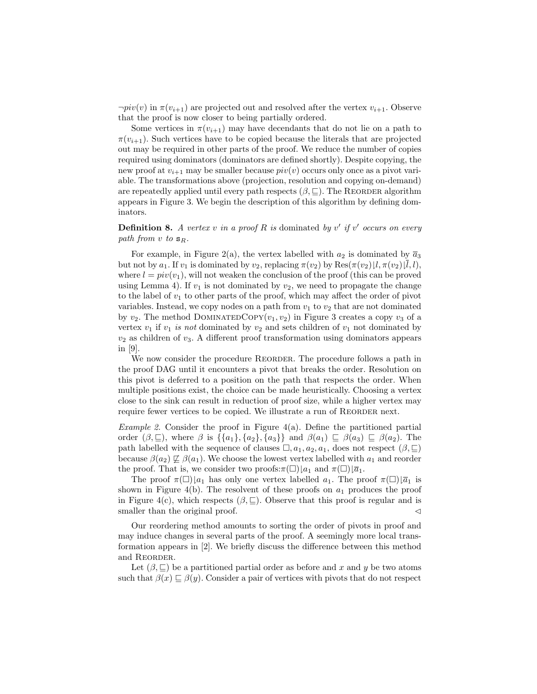$\neg piv(v)$  in  $\pi(v_{i+1})$  are projected out and resolved after the vertex  $v_{i+1}$ . Observe that the proof is now closer to being partially ordered.

Some vertices in  $\pi(v_{i+1})$  may have decendants that do not lie on a path to  $\pi(v_{i+1})$ . Such vertices have to be copied because the literals that are projected out may be required in other parts of the proof. We reduce the number of copies required using dominators (dominators are defined shortly). Despite copying, the new proof at  $v_{i+1}$  may be smaller because  $pi(v)$  occurs only once as a pivot variable. The transformations above (projection, resolution and copying on-demand) are repeatedly applied until every path respects  $(\beta, \subseteq)$ . The REORDER algorithm appears in Figure 3. We begin the description of this algorithm by defining dominators.

**Definition 8.** A vertex v in a proof R is dominated by v' if v' occurs on every path from v to  $s_R$ .

For example, in Figure 2(a), the vertex labelled with  $a_2$  is dominated by  $\overline{a}_3$ but not by  $a_1$ . If  $v_1$  is dominated by  $v_2$ , replacing  $\pi(v_2)$  by  $\text{Res}(\pi(v_2) | l, \pi(v_2) | l, l)$ , where  $l = piv(v_1)$ , will not weaken the conclusion of the proof (this can be proved using Lemma 4). If  $v_1$  is not dominated by  $v_2$ , we need to propagate the change to the label of  $v_1$  to other parts of the proof, which may affect the order of pivot variables. Instead, we copy nodes on a path from  $v_1$  to  $v_2$  that are not dominated by  $v_2$ . The method DOMINATEDCOPY( $v_1, v_2$ ) in Figure 3 creates a copy  $v_3$  of a vertex  $v_1$  if  $v_1$  is not dominated by  $v_2$  and sets children of  $v_1$  not dominated by  $v_2$  as children of  $v_3$ . A different proof transformation using dominators appears in [9].

We now consider the procedure REORDER. The procedure follows a path in the proof DAG until it encounters a pivot that breaks the order. Resolution on this pivot is deferred to a position on the path that respects the order. When multiple positions exist, the choice can be made heuristically. Choosing a vertex close to the sink can result in reduction of proof size, while a higher vertex may require fewer vertices to be copied. We illustrate a run of REORDER next.

*Example 2.* Consider the proof in Figure  $4(a)$ . Define the partitioned partial order  $(\beta, \subseteq)$ , where  $\beta$  is  $\{\{a_1\}, \{a_2\}, \{a_3\}\}\$  and  $\beta(a_1) \subseteq \beta(a_3) \subseteq \beta(a_2)$ . The path labelled with the sequence of clauses  $\Box$ ,  $a_1, a_2, a_1$ , does not respect  $(\beta, \underline{\Box})$ because  $\beta(a_2) \not\sqsubseteq \beta(a_1)$ . We choose the lowest vertex labelled with  $a_1$  and reorder the proof. That is, we consider two proofs: $\pi(\Box) [a_1 \text{ and } \pi(\Box) \overline{a_1}$ .

The proof  $\pi(\square)_{a_1}$  has only one vertex labelled  $a_1$ . The proof  $\pi(\square)_{a_1}$  is shown in Figure 4(b). The resolvent of these proofs on  $a_1$  produces the proof in Figure 4(c), which respects  $(\beta, \subseteq)$ . Observe that this proof is regular and is smaller than the original proof.  $\triangleleft$ 

Our reordering method amounts to sorting the order of pivots in proof and may induce changes in several parts of the proof. A seemingly more local transformation appears in [2]. We briefly discuss the difference between this method and REORDER.

Let  $(\beta, \subseteq)$  be a partitioned partial order as before and x and y be two atoms such that  $\beta(x) \sqsubseteq \beta(y)$ . Consider a pair of vertices with pivots that do not respect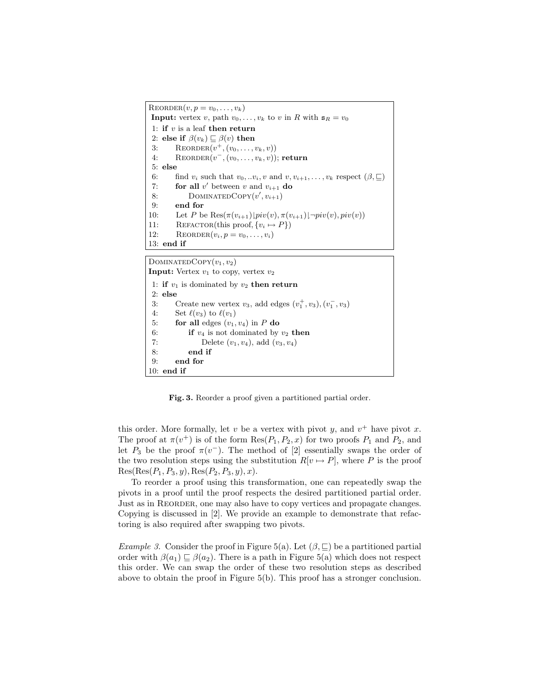$\text{REORDER}(v, p = v_0, \ldots, v_k)$ **Input:** vertex v, path  $v_0, \ldots, v_k$  to v in R with  $s_R = v_0$ 1: if  $v$  is a leaf then return 2: else if  $\beta(v_k) \sqsubseteq \beta(v)$  then 3: REORDER $(v^+, (v_0, ..., v_k, v))$ 4: REORDER $(v^-, (v_0, \ldots, v_k, v))$ ; return 5: else 6: find  $v_i$  such that  $v_0, ... v_i, v$  and  $v, v_{i+1}, ..., v_k$  respect  $(\beta, \sqsubseteq)$ 7: **for all**  $v'$  between  $v$  and  $v_{i+1}$  **do** 8: DOMINATEDCOPY $(v', v_{i+1})$ 9: end for 10: Let P be  $\text{Res}(\pi(v_{i+1})|piv(v), \pi(v_{i+1})|\neg piv(v), piv(v))$ 11: REFACTOR(this proof,  $\{v_i \mapsto P\}$ ) 12: REORDER $(v_i, p = v_0, \ldots, v_i)$ 13: end if

DOMINATEDCOPY $(v_1, v_2)$ 

```
Input: Vertex v_1 to copy, vertex v_21: if v_1 is dominated by v_2 then return
2: else
 3: Create new vertex v_3, add edges (v_1^+, v_3), (v_1^-, v_3)4: Set \ell(v_3) to \ell(v_1)5: for all edges (v_1, v_4) in P do
6: if v_4 is not dominated by v_2 then
7: Delete (v_1, v_4), add (v_3, v_4)8: end if
9: end for
10: end if
```
Fig. 3. Reorder a proof given a partitioned partial order.

this order. More formally, let v be a vertex with pivot y, and  $v^+$  have pivot x. The proof at  $\pi(v^+)$  is of the form  $\text{Res}(P_1, P_2, x)$  for two proofs  $P_1$  and  $P_2$ , and let  $P_3$  be the proof  $\pi(v^-)$ . The method of [2] essentially swaps the order of the two resolution steps using the substitution  $R[v \mapsto P]$ , where P is the proof  $Res(Res(P_1, P_3, y), Res(P_2, P_3, y), x).$ 

To reorder a proof using this transformation, one can repeatedly swap the pivots in a proof until the proof respects the desired partitioned partial order. Just as in Reorder, one may also have to copy vertices and propagate changes. Copying is discussed in [2]. We provide an example to demonstrate that refactoring is also required after swapping two pivots.

*Example 3.* Consider the proof in Figure 5(a). Let  $(\beta, \subseteq)$  be a partitioned partial order with  $\beta(a_1) \sqsubset \beta(a_2)$ . There is a path in Figure 5(a) which does not respect this order. We can swap the order of these two resolution steps as described above to obtain the proof in Figure 5(b). This proof has a stronger conclusion.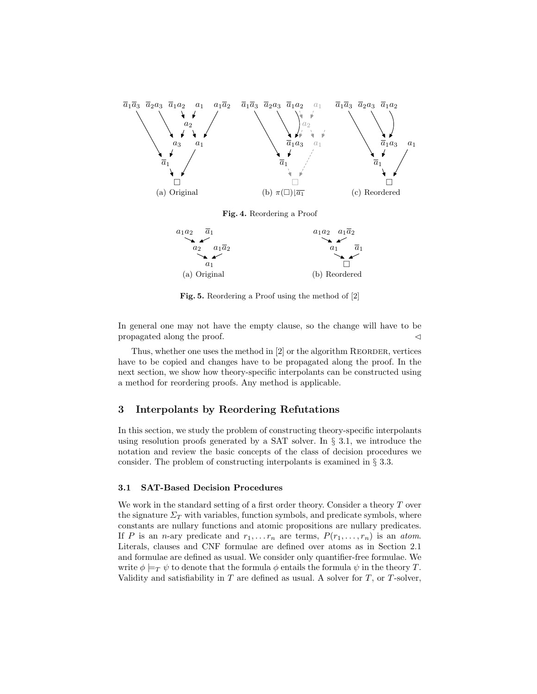

Fig. 4. Reordering a Proof



Fig. 5. Reordering a Proof using the method of [2]

In general one may not have the empty clause, so the change will have to be propagated along the proof.  $\triangleleft$ 

Thus, whether one uses the method in  $[2]$  or the algorithm REORDER, vertices have to be copied and changes have to be propagated along the proof. In the next section, we show how theory-specific interpolants can be constructed using a method for reordering proofs. Any method is applicable.

# 3 Interpolants by Reordering Refutations

In this section, we study the problem of constructing theory-specific interpolants using resolution proofs generated by a SAT solver. In  $\S$  3.1, we introduce the notation and review the basic concepts of the class of decision procedures we consider. The problem of constructing interpolants is examined in § 3.3.

## 3.1 SAT-Based Decision Procedures

We work in the standard setting of a first order theory. Consider a theory  $T$  over the signature  $\Sigma_T$  with variables, function symbols, and predicate symbols, where constants are nullary functions and atomic propositions are nullary predicates. If P is an n-ary predicate and  $r_1, \ldots r_n$  are terms,  $P(r_1, \ldots, r_n)$  is an atom. Literals, clauses and CNF formulae are defined over atoms as in Section 2.1 and formulae are defined as usual. We consider only quantifier-free formulae. We write  $\phi \models_T \psi$  to denote that the formula  $\phi$  entails the formula  $\psi$  in the theory T. Validity and satisfiability in  $T$  are defined as usual. A solver for  $T$ , or  $T$ -solver,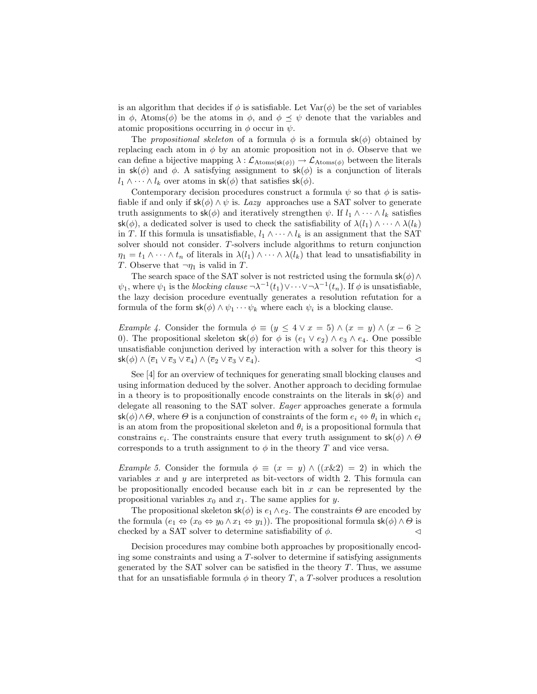is an algorithm that decides if  $\phi$  is satisfiable. Let  $Var(\phi)$  be the set of variables in  $\phi$ , Atoms( $\phi$ ) be the atoms in  $\phi$ , and  $\phi \preceq \psi$  denote that the variables and atomic propositions occurring in  $\phi$  occur in  $\psi$ .

The propositional skeleton of a formula  $\phi$  is a formula  $sk(\phi)$  obtained by replacing each atom in  $\phi$  by an atomic proposition not in  $\phi$ . Observe that we can define a bijective mapping  $\lambda : \mathcal{L}_{\text{Atoms}(\mathsf{sk}(\phi))} \to \mathcal{L}_{\text{Atoms}(\phi)}$  between the literals in  $sk(\phi)$  and  $\phi$ . A satisfying assignment to  $sk(\phi)$  is a conjunction of literals  $l_1 \wedge \cdots \wedge l_k$  over atoms in  $\mathsf{sk}(\phi)$  that satisfies  $\mathsf{sk}(\phi)$ .

Contemporary decision procedures construct a formula  $\psi$  so that  $\phi$  is satisfiable if and only if  $sk(\phi) \wedge \psi$  is. Lazy approaches use a SAT solver to generate truth assignments to  $\mathsf{sk}(\phi)$  and iteratively strengthen  $\psi$ . If  $l_1 \wedge \cdots \wedge l_k$  satisfies sk( $\phi$ ), a dedicated solver is used to check the satisfiability of  $\lambda(l_1) \wedge \cdots \wedge \lambda(l_k)$ in T. If this formula is unsatisfiable,  $l_1 \wedge \cdots \wedge l_k$  is an assignment that the SAT solver should not consider. T-solvers include algorithms to return conjunction  $\eta_1 = t_1 \wedge \cdots \wedge t_n$  of literals in  $\lambda(l_1) \wedge \cdots \wedge \lambda(l_k)$  that lead to unsatisfiability in T. Observe that  $\neg \eta_1$  is valid in T.

The search space of the SAT solver is not restricted using the formula  $\mathsf{sk}(\phi) \wedge$  $\psi_1$ , where  $\psi_1$  is the *blocking clause*  $\neg \lambda^{-1}(t_1) \vee \cdots \vee \neg \lambda^{-1}(t_n)$ . If  $\phi$  is unsatisfiable, the lazy decision procedure eventually generates a resolution refutation for a formula of the form  $\mathsf{sk}(\phi) \wedge \psi_1 \cdots \psi_k$  where each  $\psi_i$  is a blocking clause.

*Example 4.* Consider the formula  $\phi \equiv (y \leq 4 \vee x = 5) \wedge (x = y) \wedge (x - 6 \geq 1)$ 0). The propositional skeleton  $\mathsf{sk}(\phi)$  for  $\phi$  is  $(e_1 \vee e_2) \wedge e_3 \wedge e_4$ . One possible unsatisfiable conjunction derived by interaction with a solver for this theory is  $\mathsf{sk}(\phi) \land (\overline{e}_1 \lor \overline{e}_3 \lor \overline{e}_4) \land (\overline{e}_2 \lor \overline{e}_3 \lor \overline{e}_4).$ 

See [4] for an overview of techniques for generating small blocking clauses and using information deduced by the solver. Another approach to deciding formulae in a theory is to propositionally encode constraints on the literals in  $\mathsf{sk}(\phi)$  and delegate all reasoning to the SAT solver. Eager approaches generate a formula  $\mathsf{sk}(\phi) \land \Theta$ , where  $\Theta$  is a conjunction of constraints of the form  $e_i \Leftrightarrow \theta_i$  in which  $e_i$ is an atom from the propositional skeleton and  $\theta_i$  is a propositional formula that constrains  $e_i$ . The constraints ensure that every truth assignment to  $\mathsf{sk}(\phi) \wedge \Theta$ corresponds to a truth assignment to  $\phi$  in the theory T and vice versa.

*Example 5.* Consider the formula  $\phi \equiv (x = y) \wedge ((x \& 2) = 2)$  in which the variables  $x$  and  $y$  are interpreted as bit-vectors of width 2. This formula can be propositionally encoded because each bit in  $x$  can be represented by the propositional variables  $x_0$  and  $x_1$ . The same applies for y.

The propositional skeleton  $\mathsf{sk}(\phi)$  is  $e_1 \wedge e_2$ . The constraints  $\Theta$  are encoded by the formula  $(e_1 \Leftrightarrow (x_0 \Leftrightarrow y_0 \wedge x_1 \Leftrightarrow y_1))$ . The propositional formula  $\mathsf{sk}(\phi) \wedge \Theta$  is checked by a SAT solver to determine satisfiability of  $\phi$ .

Decision procedures may combine both approaches by propositionally encoding some constraints and using a  $T$ -solver to determine if satisfying assignments generated by the SAT solver can be satisfied in the theory  $T$ . Thus, we assume that for an unsatisfiable formula  $\phi$  in theory T, a T-solver produces a resolution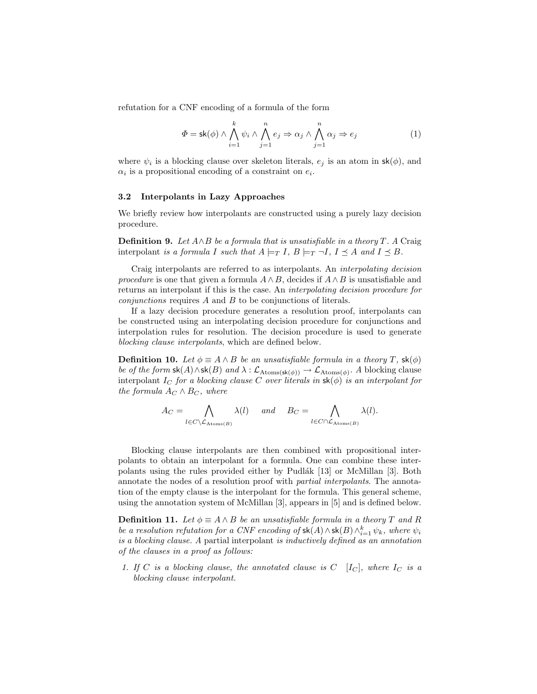refutation for a CNF encoding of a formula of the form

$$
\Phi = \mathsf{sk}(\phi) \land \bigwedge_{i=1}^{k} \psi_i \land \bigwedge_{j=1}^{n} e_j \Rightarrow \alpha_j \land \bigwedge_{j=1}^{n} \alpha_j \Rightarrow e_j \tag{1}
$$

where  $\psi_i$  is a blocking clause over skeleton literals,  $e_j$  is an atom in  $\mathsf{sk}(\phi)$ , and  $\alpha_i$  is a propositional encoding of a constraint on  $e_i$ .

## 3.2 Interpolants in Lazy Approaches

We briefly review how interpolants are constructed using a purely lazy decision procedure.

**Definition 9.** Let  $A \wedge B$  be a formula that is unsatisfiable in a theory T. A Craig interpolant is a formula I such that  $A \models_T I$ ,  $B \models_T \neg I$ ,  $I \prec A$  and  $I \prec B$ .

Craig interpolants are referred to as interpolants. An interpolating decision procedure is one that given a formula  $A \wedge B$ , decides if  $A \wedge B$  is unsatisfiable and returns an interpolant if this is the case. An interpolating decision procedure for conjunctions requires A and B to be conjunctions of literals.

If a lazy decision procedure generates a resolution proof, interpolants can be constructed using an interpolating decision procedure for conjunctions and interpolation rules for resolution. The decision procedure is used to generate blocking clause interpolants, which are defined below.

**Definition 10.** Let  $\phi \equiv A \wedge B$  be an unsatisfiable formula in a theory T,  $\mathsf{sk}(\phi)$ be of the form  $\mathsf{sk}(A) \wedge \mathsf{sk}(B)$  and  $\lambda : \mathcal{L}_{\text{Atoms}(\mathsf{sk}(\phi))} \to \mathcal{L}_{\text{Atoms}(\phi)}$ . A blocking clause interpolant I<sub>C</sub> for a blocking clause C over literals in  $\mathsf{sk}(\phi)$  is an interpolant for the formula  $A_C \wedge B_C$ , where

$$
A_C = \bigwedge_{l \in C \setminus \mathcal{L}_{\mathrm{Atoms}(B)}} \lambda(l) \quad \text{and} \quad B_C = \bigwedge_{l \in C \cap \mathcal{L}_{\mathrm{Atoms}(B)}} \lambda(l).
$$

Blocking clause interpolants are then combined with propositional interpolants to obtain an interpolant for a formula. One can combine these interpolants using the rules provided either by Pudlák [13] or McMillan [3]. Both annotate the nodes of a resolution proof with partial interpolants. The annotation of the empty clause is the interpolant for the formula. This general scheme, using the annotation system of McMillan [3], appears in [5] and is defined below.

**Definition 11.** Let  $\phi \equiv A \wedge B$  be an unsatisfiable formula in a theory T and R be a resolution refutation for a CNF encoding of  $\mathsf{sk}(A) \wedge \mathsf{sk}(B) \wedge_{i=1}^k \psi_k$ , where  $\psi_i$ is a blocking clause. A partial interpolant is inductively defined as an annotation of the clauses in a proof as follows:

1. If C is a blocking clause, the annotated clause is  $C$  [I<sub>C</sub>], where  $I_C$  is a blocking clause interpolant.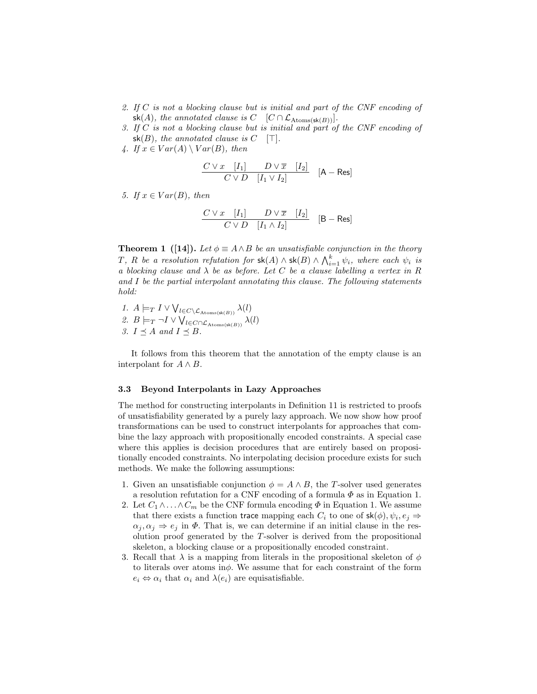- 2. If C is not a blocking clause but is initial and part of the CNF encoding of sk(A), the annotated clause is  $C \left[ C \cap \mathcal{L}_{\text{Atoms}(\textbf{sk}(B))} \right]$ .
- 3. If C is not a blocking clause but is initial and part of the CNF encoding of  $sk(B)$ , the annotated clause is  $C$  [T].
- 4. If  $x \in Var(A) \setminus Var(B)$ , then

$$
\frac{C \vee x \quad [I_1] \qquad D \vee \overline{x} \quad [I_2]}{C \vee D \quad [I_1 \vee I_2]} \quad [A - \text{Res}]
$$

5. If  $x \in Var(B)$ , then

$$
\frac{C \vee x \quad [I_1] \qquad D \vee \overline{x} \quad [I_2]}{C \vee D \quad [I_1 \wedge I_2]} \quad [B - Res]
$$

**Theorem 1** ([14]). Let  $\phi \equiv A \wedge B$  be an unsatisfiable conjunction in the theory T, R be a resolution refutation for  $\mathsf{sk}(A) \wedge \mathsf{sk}(B) \wedge \bigwedge_{i=1}^k \psi_i$ , where each  $\psi_i$  is a blocking clause and  $\lambda$  be as before. Let C be a clause labelling a vertex in R and I be the partial interpolant annotating this clause. The following statements hold:

1.  $A \models_T I \vee \bigvee_{l \in C \setminus \mathcal{L}_{\text{Atoms}(\text{sk}(B))}} \lambda(l)$ 2.  $B \models_T \neg I \vee \bigvee_{l \in C \cap \mathcal{L}_{\text{Atoms}(\text{sk}(B))}} \lambda(l)$ 3.  $I \preceq A$  and  $I \preceq B$ .

It follows from this theorem that the annotation of the empty clause is an interpolant for  $A \wedge B$ .

## 3.3 Beyond Interpolants in Lazy Approaches

The method for constructing interpolants in Definition 11 is restricted to proofs of unsatisfiability generated by a purely lazy approach. We now show how proof transformations can be used to construct interpolants for approaches that combine the lazy approach with propositionally encoded constraints. A special case where this applies is decision procedures that are entirely based on propositionally encoded constraints. No interpolating decision procedure exists for such methods. We make the following assumptions:

- 1. Given an unsatisfiable conjunction  $\phi = A \wedge B$ , the T-solver used generates a resolution refutation for a CNF encoding of a formula  $\Phi$  as in Equation 1.
- 2. Let  $C_1 \wedge \ldots \wedge C_m$  be the CNF formula encoding  $\Phi$  in Equation 1. We assume that there exists a function trace mapping each  $C_i$  to one of  $\mathsf{sk}(\phi), \psi_i, e_j \Rightarrow$  $\alpha_i, \alpha_j \Rightarrow e_j$  in  $\Phi$ . That is, we can determine if an initial clause in the resolution proof generated by the  $T$ -solver is derived from the propositional skeleton, a blocking clause or a propositionally encoded constraint.
- 3. Recall that  $\lambda$  is a mapping from literals in the propositional skeleton of  $\phi$ to literals over atoms in $\phi$ . We assume that for each constraint of the form  $e_i \Leftrightarrow \alpha_i$  that  $\alpha_i$  and  $\lambda(e_i)$  are equisatisfiable.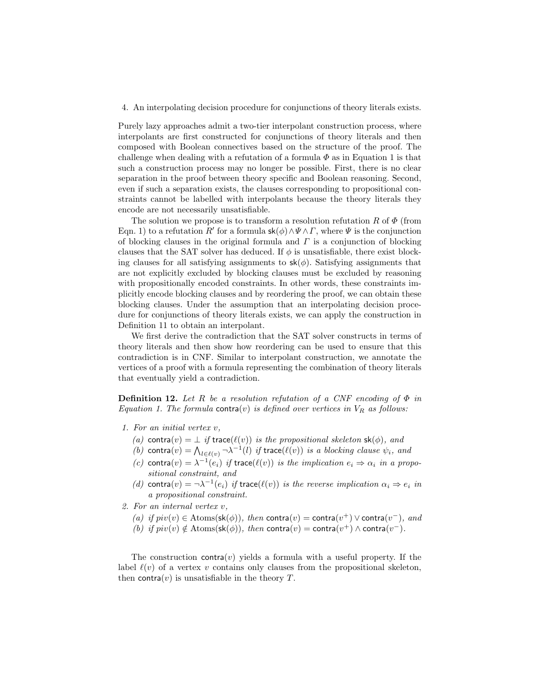#### 4. An interpolating decision procedure for conjunctions of theory literals exists.

Purely lazy approaches admit a two-tier interpolant construction process, where interpolants are first constructed for conjunctions of theory literals and then composed with Boolean connectives based on the structure of the proof. The challenge when dealing with a refutation of a formula  $\Phi$  as in Equation 1 is that such a construction process may no longer be possible. First, there is no clear separation in the proof between theory specific and Boolean reasoning. Second, even if such a separation exists, the clauses corresponding to propositional constraints cannot be labelled with interpolants because the theory literals they encode are not necessarily unsatisfiable.

The solution we propose is to transform a resolution refutation R of  $\Phi$  (from Eqn. 1) to a refutation R' for a formula  $\mathsf{sk}(\phi) \land \Psi \land \Gamma$ , where  $\Psi$  is the conjunction of blocking clauses in the original formula and  $\Gamma$  is a conjunction of blocking clauses that the SAT solver has deduced. If  $\phi$  is unsatisfiable, there exist blocking clauses for all satisfying assignments to  $\mathsf{sk}(\phi)$ . Satisfying assignments that are not explicitly excluded by blocking clauses must be excluded by reasoning with propositionally encoded constraints. In other words, these constraints implicitly encode blocking clauses and by reordering the proof, we can obtain these blocking clauses. Under the assumption that an interpolating decision procedure for conjunctions of theory literals exists, we can apply the construction in Definition 11 to obtain an interpolant.

We first derive the contradiction that the SAT solver constructs in terms of theory literals and then show how reordering can be used to ensure that this contradiction is in CNF. Similar to interpolant construction, we annotate the vertices of a proof with a formula representing the combination of theory literals that eventually yield a contradiction.

**Definition 12.** Let R be a resolution refutation of a CNF encoding of  $\Phi$  in Equation 1. The formula contra(v) is defined over vertices in  $V_R$  as follows:

- 1. For an initial vertex v,
	- (a) contra $(v) = \perp$  if trace( $\ell(v)$ ) is the propositional skeleton sk( $\phi$ ), and
	- (b) contra $(v) = \bigwedge_{l \in \ell(v)} \neg \lambda^{-1}(l)$  if trace( $\ell(v)$ ) is a blocking clause  $\psi_i$ , and
	- (c) contra(v) =  $\lambda^{-1}(e_i)$  if trace( $\ell(v)$ ) is the implication  $e_i \Rightarrow \alpha_i$  in a propositional constraint, and
	- (d) contra $(v) = \neg \lambda^{-1}(e_i)$  if trace $(\ell(v))$  is the reverse implication  $\alpha_i \Rightarrow e_i$  in a propositional constraint.
- 2. For an internal vertex v,
	- (a) if  $piv(v) \in \text{Atoms}(\textsf{sk}(\phi))$ , then contra $(v) = \text{contra}(v^+) \vee \text{contra}(v^-)$ , and (b) if  $piv(v) \notin \text{Atoms}(\text{sk}(\phi))$ , then contra $(v) = \text{contra}(v^+) \wedge \text{contra}(v^-)$ .

The construction contra $(v)$  yields a formula with a useful property. If the label  $\ell(v)$  of a vertex v contains only clauses from the propositional skeleton, then contra $(v)$  is unsatisfiable in the theory T.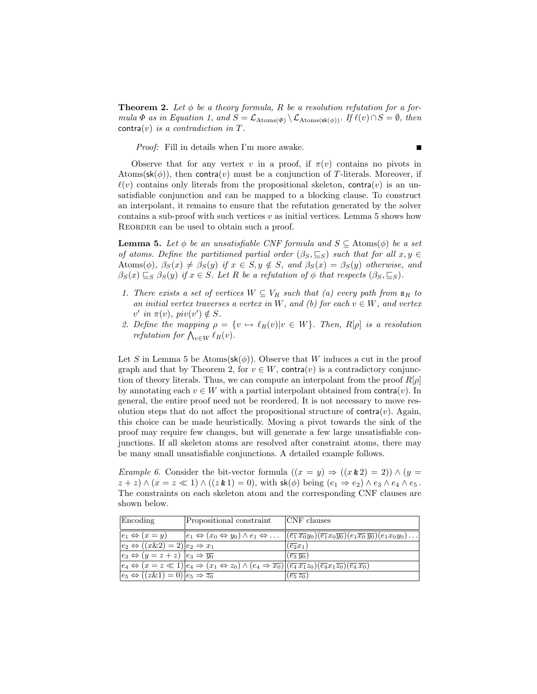**Theorem 2.** Let  $\phi$  be a theory formula, R be a resolution refutation for a formula  $\Phi$  as in Equation 1, and  $S = \mathcal{L}_{\text{Atoms}(\Phi)} \setminus \mathcal{L}_{\text{Atoms}(\mathsf{sk}(\phi))}$ . If  $\ell(v) \cap S = \emptyset$ , then  $control(v)$  is a contradiction in T.

Proof: Fill in details when I'm more awake.

Observe that for any vertex v in a proof, if  $\pi(v)$  contains no pivots in Atoms( $\mathsf{sk}(\phi)$ ), then contra(v) must be a conjunction of T-literals. Moreover, if  $\ell(v)$  contains only literals from the propositional skeleton, contra $(v)$  is an unsatisfiable conjunction and can be mapped to a blocking clause. To construct an interpolant, it remains to ensure that the refutation generated by the solver contains a sub-proof with such vertices  $v$  as initial vertices. Lemma 5 shows how REORDER can be used to obtain such a proof.

**Lemma 5.** Let  $\phi$  be an unsatisfiable CNF formula and  $S \subseteq$  Atoms( $\phi$ ) be a set of atoms. Define the partitioned partial order  $(\beta_S, \subseteq_S)$  such that for all  $x, y \in$ Atoms( $\phi$ ),  $\beta_S(x) \neq \beta_S(y)$  if  $x \in S, y \notin S$ , and  $\beta_S(x) = \beta_S(y)$  otherwise, and  $\beta_S(x) \sqsubseteq_S \beta_S(y)$  if  $x \in S$ . Let R be a refutation of  $\phi$  that respects  $(\beta_S, \sqsubseteq_S)$ .

- 1. There exists a set of vertices  $W \subseteq V_R$  such that (a) every path from  $\mathbf{s}_R$  to an initial vertex traverses a vertex in W, and (b) for each  $v \in W$ , and vertex  $v'$  in  $\pi(v)$ ,  $piv(v') \notin S$ .
- 2. Define the mapping  $\rho = \{v \mapsto \ell_R(v)|v \in W\}$ . Then,  $R[\rho]$  is a resolution *refutation for*  $\bigwedge_{v \in W} \ell_R(v)$ .

Let S in Lemma 5 be Atoms( $\mathsf{sk}(\phi)$ ). Observe that W induces a cut in the proof graph and that by Theorem 2, for  $v \in W$ , contra $(v)$  is a contradictory conjunction of theory literals. Thus, we can compute an interpolant from the proof  $R[\rho]$ by annotating each  $v \in W$  with a partial interpolant obtained from contra(v). In general, the entire proof need not be reordered. It is not necessary to move resolution steps that do not affect the propositional structure of contra $(v)$ . Again, this choice can be made heuristically. Moving a pivot towards the sink of the proof may require few changes, but will generate a few large unsatisfiable conjunctions. If all skeleton atoms are resolved after constraint atoms, there may be many small unsatisfiable conjunctions. A detailed example follows.

*Example 6.* Consider the bit-vector formula  $((x = y) \Rightarrow ((x \& 2) = 2)) \wedge (y =$  $z + z$ )  $\wedge (x = z \ll 1) \wedge ((z \& 1) = 0)$ , with  $\mathsf{sk}(\phi)$  being  $(e_1 \Rightarrow e_2) \wedge e_3 \wedge e_4 \wedge e_5$ . The constraints on each skeleton atom and the corresponding CNF clauses are shown below.

| Encoding                                                                     | Propositional constraint                                                                                                                                                                                                                             | $ CNF$ clauses                                                                                                                                                                                                    |
|------------------------------------------------------------------------------|------------------------------------------------------------------------------------------------------------------------------------------------------------------------------------------------------------------------------------------------------|-------------------------------------------------------------------------------------------------------------------------------------------------------------------------------------------------------------------|
|                                                                              |                                                                                                                                                                                                                                                      |                                                                                                                                                                                                                   |
| $ e_1 \Leftrightarrow (x=y) $                                                |                                                                                                                                                                                                                                                      | $ e_1 \Leftrightarrow (x_0 \Leftrightarrow y_0) \wedge e_1 \Leftrightarrow \ldots  (\overline{e_1} \overline{x_0} y_0)(\overline{e_1} x_0 \overline{y_0})(e_1 \overline{x_0} \overline{y_0})(e_1 x_0 y_0) \ldots$ |
| $ e_2 \Leftrightarrow ((x \& 2) = 2) e_2 \Rightarrow x_1$                    |                                                                                                                                                                                                                                                      | $\left(\overline{e_2}x_1\right)$                                                                                                                                                                                  |
| $\vert e_3 \Leftrightarrow (y = z + z) \vert e_3 \Rightarrow \overline{y_0}$ |                                                                                                                                                                                                                                                      | $(\overline{e_3}\,\overline{y_0})$                                                                                                                                                                                |
|                                                                              | $\boxed{e_4 \Leftrightarrow (x = z \ll 1)   e_4 \Rightarrow (x_1 \Leftrightarrow z_0) \wedge (e_4 \Rightarrow \overline{x_0})   (\overline{e_4} \overline{x_1} z_0) (\overline{e_4} \overline{x_1} \overline{z_0}) (\overline{e_4} \overline{x_0})}$ |                                                                                                                                                                                                                   |
| $ e_5 \Leftrightarrow ((z \& 1) = 0) e_5 \Rightarrow \overline{z_0} $        |                                                                                                                                                                                                                                                      | $(\overline{e_5}\,\overline{z_0})$                                                                                                                                                                                |

 $\blacksquare$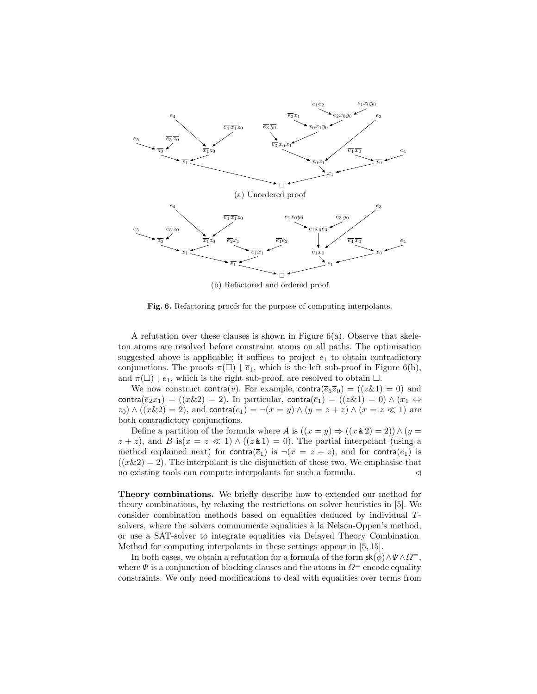

(b) Refactored and ordered proof

Fig. 6. Refactoring proofs for the purpose of computing interpolants.

A refutation over these clauses is shown in Figure  $6(a)$ . Observe that skeleton atoms are resolved before constraint atoms on all paths. The optimisation suggested above is applicable; it suffices to project  $e_1$  to obtain contradictory conjunctions. The proofs  $\pi(\square) \downharpoonright \overline{e}_1$ , which is the left sub-proof in Figure 6(b), and  $\pi(\square) \downharpoonright e_1$ , which is the right sub-proof, are resolved to obtain  $\square$ .

We now construct contra(v). For example, contra( $\overline{e}_5\overline{z}_0$ ) = (( $z\&1$ ) = 0) and contra( $\overline{e}_2x_1$ ) = ((x&2) = 2). In particular, contra( $\overline{e}_1$ ) = ((z&1) = 0)  $\wedge$  (x<sub>1</sub>  $\Leftrightarrow$  $z_0$ )  $\wedge$  ((x\lext{\land{z}}{2}) = 2), and contra $(e_1) = \neg(x = y) \wedge (y = z + z) \wedge (x = z \ll 1)$  are both contradictory conjunctions.

Define a partition of the formula where A is  $((x = y) \Rightarrow ((x \& 2) = 2)) \wedge (y =$  $z + z$ ), and B is $(x = z \ll 1) \wedge ((z \& 1) = 0)$ . The partial interpolant (using a method explained next) for contra( $\overline{e}_1$ ) is  $\neg(x = z + z)$ , and for contra( $e_1$ ) is  $((x\&2) = 2)$ . The interpolant is the disjunction of these two. We emphasise that no existing tools can compute interpolants for such a formula.  $\lhd$ 

Theory combinations. We briefly describe how to extended our method for theory combinations, by relaxing the restrictions on solver heuristics in [5]. We consider combination methods based on equalities deduced by individual Tsolvers, where the solvers communicate equalities à la Nelson-Oppen's method, or use a SAT-solver to integrate equalities via Delayed Theory Combination. Method for computing interpolants in these settings appear in [5, 15].

In both cases, we obtain a refutation for a formula of the form  $\mathsf{sk}(\phi) \wedge \Psi \wedge \Omega^-$ , where  $\Psi$  is a conjunction of blocking clauses and the atoms in  $\Omega$ <sup>=</sup> encode equality constraints. We only need modifications to deal with equalities over terms from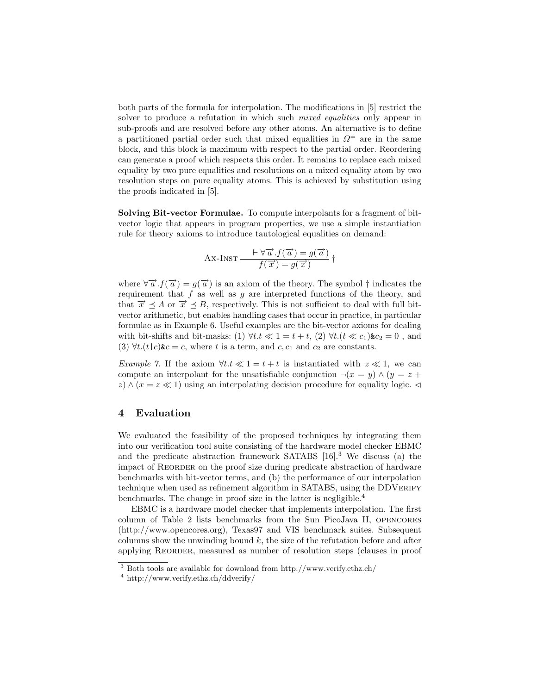both parts of the formula for interpolation. The modifications in [5] restrict the solver to produce a refutation in which such *mixed equalities* only appear in sub-proofs and are resolved before any other atoms. An alternative is to define a partitioned partial order such that mixed equalities in  $\Omega$ <sup>=</sup> are in the same block, and this block is maximum with respect to the partial order. Reordering can generate a proof which respects this order. It remains to replace each mixed equality by two pure equalities and resolutions on a mixed equality atom by two resolution steps on pure equality atoms. This is achieved by substitution using the proofs indicated in [5].

Solving Bit-vector Formulae. To compute interpolants for a fragment of bitvector logic that appears in program properties, we use a simple instantiation rule for theory axioms to introduce tautological equalities on demand:

$$
Ax-INST \frac{\vdash \forall \overrightarrow{a} . f(\overrightarrow{a}) = g(\overrightarrow{a})}{f(\overrightarrow{x}) = g(\overrightarrow{x})} \dagger
$$

where  $\forall \vec{a} \cdot f(\vec{a}) = g(\vec{a})$  is an axiom of the theory. The symbol  $\dagger$  indicates the requirement that  $f$  as well as  $g$  are interpreted functions of the theory, and that  $\vec{x} \preceq A$  or  $\vec{x} \preceq B$ , respectively. This is not sufficient to deal with full bitvector arithmetic, but enables handling cases that occur in practice, in particular formulae as in Example 6. Useful examples are the bit-vector axioms for dealing with bit-shifts and bit-masks: (1)  $\forall t \in \mathbb{R} \leq 1 = t + t$ , (2)  $\forall t \in (t \ll c_1) \& c_2 = 0$ , and (3)  $\forall t.(t|c)$ &c = c, where t is a term, and c, c<sub>1</sub> and c<sub>2</sub> are constants.

Example 7. If the axiom  $\forall t \in \mathbb{R} \leq 1 = t + t$  is instantiated with  $z \ll 1$ , we can compute an interpolant for the unsatisfiable conjunction  $\neg(x = y) \wedge (y = z +$ z)  $\wedge$  ( $x = z \ll 1$ ) using an interpolating decision procedure for equality logic.

# 4 Evaluation

We evaluated the feasibility of the proposed techniques by integrating them into our verification tool suite consisting of the hardware model checker EBMC and the predicate abstraction framework SATABS  $[16]$ <sup>3</sup>. We discuss (a) the impact of REORDER on the proof size during predicate abstraction of hardware benchmarks with bit-vector terms, and (b) the performance of our interpolation technique when used as refinement algorithm in SATABS, using the DDVERIFY benchmarks. The change in proof size in the latter is negligible.<sup>4</sup>

EBMC is a hardware model checker that implements interpolation. The first column of Table 2 lists benchmarks from the Sun PicoJava II, opencores (http://www.opencores.org), Texas97 and VIS benchmark suites. Subsequent columns show the unwinding bound  $k$ , the size of the refutation before and after applying Reorder, measured as number of resolution steps (clauses in proof

<sup>3</sup> Both tools are available for download from http://www.verify.ethz.ch/

<sup>4</sup> http://www.verify.ethz.ch/ddverify/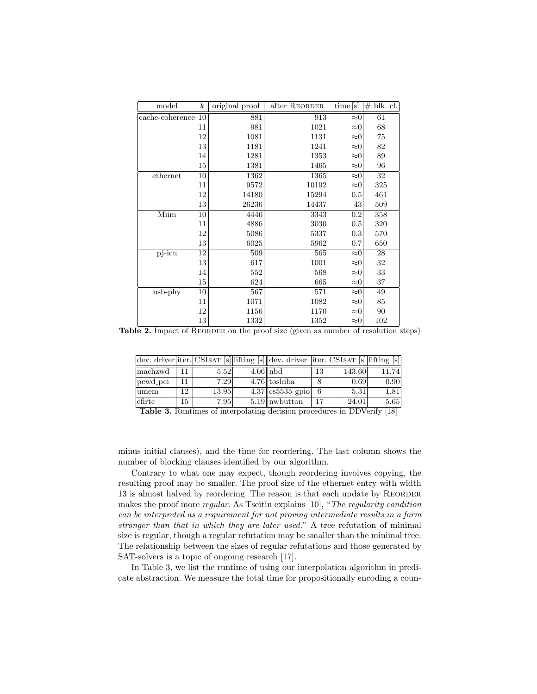| model                 | $\boldsymbol{k}$ | original proof | after REORDER | time[s]     | #<br>blk. cl. |
|-----------------------|------------------|----------------|---------------|-------------|---------------|
| 10<br>cache-coherence |                  | 881            | 913           | $\approx 0$ | 61            |
|                       | 11               | 981            | 1021          | $\approx 0$ | 68            |
|                       | 12               | 1081           | 1131          | $\approx 0$ | 75            |
|                       | 13               | 1181           | 1241          | $\approx 0$ | 82            |
|                       | 14               | 1281           | 1353          | $\approx 0$ | 89            |
|                       | 15               | 1381           | 1465          | $\approx 0$ | 96            |
| ethernet              | 10               | 1362           | 1365          | $\approx 0$ | 32            |
|                       | 11               | 9572           | 10192         | $\approx 0$ | 325           |
|                       | 12               | 14180          | 15294         | 0.5         | 461           |
|                       | 13               | 26236          | 14437         | 43          | 509           |
| Miim                  | 10               | 4446           | 3343          | 0.2         | 358           |
|                       | 11               | 4886           | 3030          | 0.5         | 320           |
|                       | 12               | 5086           | 5337          | 0.3         | 570           |
|                       | 13               | 6025           | 5962          | 0.7         | 650           |
| pj-icu                | 12               | 509            | 565           | $\approx 0$ | 28            |
|                       | 13               | 617            | 1001          | $\approx 0$ | 32            |
|                       | 14               | 552            | 568           | $\approx 0$ | 33            |
|                       | 15               | 624            | 665           | $\approx 0$ | 37            |
| $\text{usb-phy}$      | 10               | 567            | 571           | $\approx 0$ | 49            |
|                       | 11               | 1071           | 1082          | $\approx 0$ | 85            |
|                       | 12               | 1156           | 1170          | $\approx 0$ | 90            |
|                       | 13               | 1332           | 1352          | $\approx 0$ | 102           |

Table 2. Impact of REORDER on the proof size (given as number of resolution steps)

|          |    |       | dev. driver iter. CSISAT [s] lifting [s] dev. driver   iter. CSISAT [s] lifting [s] |    |        |       |
|----------|----|-------|-------------------------------------------------------------------------------------|----|--------|-------|
| machzwd  |    | 5.52  | $4.06$   nbd                                                                        | 13 | 143.60 | 11.74 |
| pcwd_pci |    | 7.29  | $4.76$   toshiba                                                                    | 8  | 0.69   | 0.90  |
| lumem    | 12 | 13.95 | $4.37$   cs5535_gpio                                                                | 6  | 5.31   | 1.81  |
| leftc    | 15 | 7.95  | $5.19$ nwbutton                                                                     | 17 | 24.01  | 5.65  |

Table 3. Runtimes of interpolating decision procedures in DDVerify [18]

minus initial clauses), and the time for reordering. The last column shows the number of blocking clauses identified by our algorithm.

Contrary to what one may expect, though reordering involves copying, the resulting proof may be smaller. The proof size of the ethernet entry with width 13 is almost halved by reordering. The reason is that each update by Reorder makes the proof more regular. As Tseitin explains [10], "The regularity condition can be interpreted as a requirement for not proving intermediate results in a form stronger than that in which they are later used." A tree refutation of minimal size is regular, though a regular refutation may be smaller than the minimal tree. The relationship between the sizes of regular refutations and those generated by SAT-solvers is a topic of ongoing research [17].

In Table 3, we list the runtime of using our interpolation algorithm in predicate abstraction. We measure the total time for propositionally encoding a coun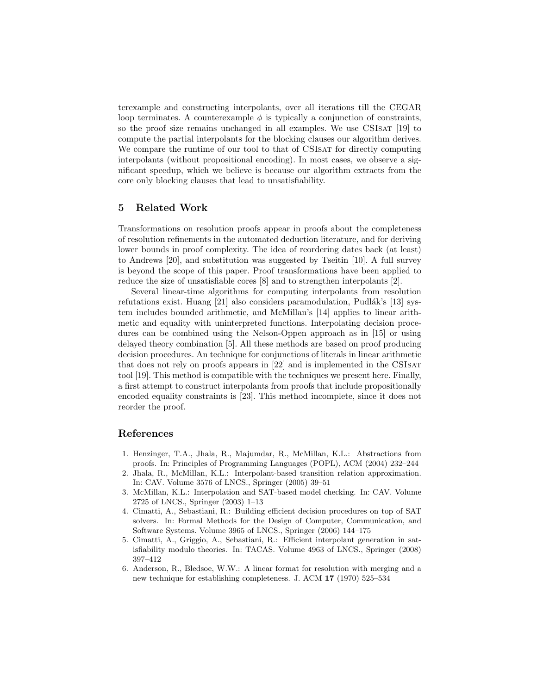terexample and constructing interpolants, over all iterations till the CEGAR loop terminates. A counterexample  $\phi$  is typically a conjunction of constraints, so the proof size remains unchanged in all examples. We use CSISAT [19] to compute the partial interpolants for the blocking clauses our algorithm derives. We compare the runtime of our tool to that of CSIsAT for directly computing interpolants (without propositional encoding). In most cases, we observe a significant speedup, which we believe is because our algorithm extracts from the core only blocking clauses that lead to unsatisfiability.

# 5 Related Work

Transformations on resolution proofs appear in proofs about the completeness of resolution refinements in the automated deduction literature, and for deriving lower bounds in proof complexity. The idea of reordering dates back (at least) to Andrews [20], and substitution was suggested by Tseitin [10]. A full survey is beyond the scope of this paper. Proof transformations have been applied to reduce the size of unsatisfiable cores [8] and to strengthen interpolants [2].

Several linear-time algorithms for computing interpolants from resolution refutations exist. Huang  $[21]$  also considers paramodulation, Pudlák's  $[13]$  system includes bounded arithmetic, and McMillan's [14] applies to linear arithmetic and equality with uninterpreted functions. Interpolating decision procedures can be combined using the Nelson-Oppen approach as in [15] or using delayed theory combination [5]. All these methods are based on proof producing decision procedures. An technique for conjunctions of literals in linear arithmetic that does not rely on proofs appears in [22] and is implemented in the CSIsat tool [19]. This method is compatible with the techniques we present here. Finally, a first attempt to construct interpolants from proofs that include propositionally encoded equality constraints is [23]. This method incomplete, since it does not reorder the proof.

# References

- 1. Henzinger, T.A., Jhala, R., Majumdar, R., McMillan, K.L.: Abstractions from proofs. In: Principles of Programming Languages (POPL), ACM (2004) 232–244
- 2. Jhala, R., McMillan, K.L.: Interpolant-based transition relation approximation. In: CAV. Volume 3576 of LNCS., Springer (2005) 39–51
- 3. McMillan, K.L.: Interpolation and SAT-based model checking. In: CAV. Volume 2725 of LNCS., Springer (2003) 1–13
- 4. Cimatti, A., Sebastiani, R.: Building efficient decision procedures on top of SAT solvers. In: Formal Methods for the Design of Computer, Communication, and Software Systems. Volume 3965 of LNCS., Springer (2006) 144–175
- 5. Cimatti, A., Griggio, A., Sebastiani, R.: Efficient interpolant generation in satisfiability modulo theories. In: TACAS. Volume 4963 of LNCS., Springer (2008) 397–412
- 6. Anderson, R., Bledsoe, W.W.: A linear format for resolution with merging and a new technique for establishing completeness. J. ACM 17 (1970) 525–534